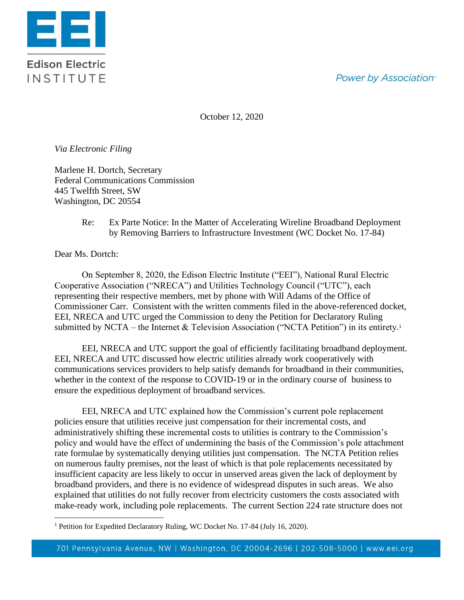## **Power by Association**<sup>®</sup>



October 12, 2020

*Via Electronic Filing*

Marlene H. Dortch, Secretary Federal Communications Commission 445 Twelfth Street, SW Washington, DC 20554

> Re: Ex Parte Notice: In the Matter of Accelerating Wireline Broadband Deployment by Removing Barriers to Infrastructure Investment (WC Docket No. 17-84)

Dear Ms. Dortch:

On September 8, 2020, the Edison Electric Institute ("EEI"), National Rural Electric Cooperative Association ("NRECA") and Utilities Technology Council ("UTC"), each representing their respective members, met by phone with Will Adams of the Office of Commissioner Carr. Consistent with the written comments filed in the above-referenced docket, EEI, NRECA and UTC urged the Commission to deny the Petition for Declaratory Ruling submitted by NCTA – the Internet & Television Association ("NCTA Petition") in its entirety.<sup>1</sup>

EEI, NRECA and UTC support the goal of efficiently facilitating broadband deployment. EEI, NRECA and UTC discussed how electric utilities already work cooperatively with communications services providers to help satisfy demands for broadband in their communities, whether in the context of the response to COVID-19 or in the ordinary course of business to ensure the expeditious deployment of broadband services.

EEI, NRECA and UTC explained how the Commission's current pole replacement policies ensure that utilities receive just compensation for their incremental costs, and administratively shifting these incremental costs to utilities is contrary to the Commission's policy and would have the effect of undermining the basis of the Commission's pole attachment rate formulae by systematically denying utilities just compensation. The NCTA Petition relies on numerous faulty premises, not the least of which is that pole replacements necessitated by insufficient capacity are less likely to occur in unserved areas given the lack of deployment by broadband providers, and there is no evidence of widespread disputes in such areas. We also explained that utilities do not fully recover from electricity customers the costs associated with make-ready work, including pole replacements. The current Section 224 rate structure does not

<sup>&</sup>lt;sup>1</sup> Petition for Expedited Declaratory Ruling, WC Docket No. 17-84 (July 16, 2020).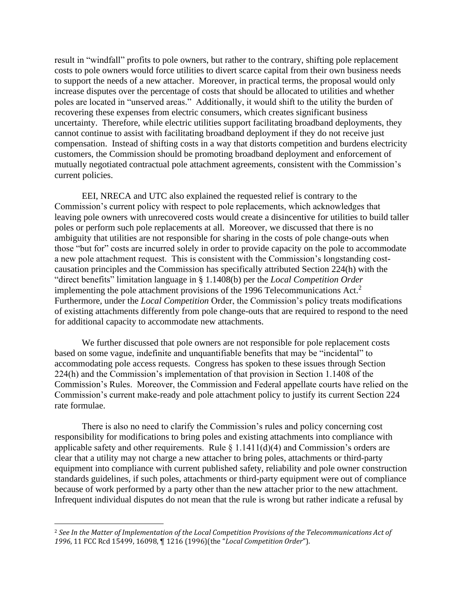result in "windfall" profits to pole owners, but rather to the contrary, shifting pole replacement costs to pole owners would force utilities to divert scarce capital from their own business needs to support the needs of a new attacher. Moreover, in practical terms, the proposal would only increase disputes over the percentage of costs that should be allocated to utilities and whether poles are located in "unserved areas." Additionally, it would shift to the utility the burden of recovering these expenses from electric consumers, which creates significant business uncertainty. Therefore, while electric utilities support facilitating broadband deployments, they cannot continue to assist with facilitating broadband deployment if they do not receive just compensation. Instead of shifting costs in a way that distorts competition and burdens electricity customers, the Commission should be promoting broadband deployment and enforcement of mutually negotiated contractual pole attachment agreements, consistent with the Commission's current policies.

EEI, NRECA and UTC also explained the requested relief is contrary to the Commission's current policy with respect to pole replacements, which acknowledges that leaving pole owners with unrecovered costs would create a disincentive for utilities to build taller poles or perform such pole replacements at all. Moreover, we discussed that there is no ambiguity that utilities are not responsible for sharing in the costs of pole change-outs when those "but for" costs are incurred solely in order to provide capacity on the pole to accommodate a new pole attachment request. This is consistent with the Commission's longstanding costcausation principles and the Commission has specifically attributed Section 224(h) with the "direct benefits" limitation language in § 1.1408(b) per the *Local Competition Order* implementing the pole attachment provisions of the 1996 Telecommunications Act.<sup>2</sup> Furthermore, under the *Local Competition* Order, the Commission's policy treats modifications of existing attachments differently from pole change-outs that are required to respond to the need for additional capacity to accommodate new attachments.

We further discussed that pole owners are not responsible for pole replacement costs based on some vague, indefinite and unquantifiable benefits that may be "incidental" to accommodating pole access requests. Congress has spoken to these issues through Section 224(h) and the Commission's implementation of that provision in Section 1.1408 of the Commission's Rules. Moreover, the Commission and Federal appellate courts have relied on the Commission's current make-ready and pole attachment policy to justify its current Section 224 rate formulae.

There is also no need to clarify the Commission's rules and policy concerning cost responsibility for modifications to bring poles and existing attachments into compliance with applicable safety and other requirements. Rule  $\S 1.1411(d)(4)$  and Commission's orders are clear that a utility may not charge a new attacher to bring poles, attachments or third-party equipment into compliance with current published safety, reliability and pole owner construction standards guidelines, if such poles, attachments or third-party equipment were out of compliance because of work performed by a party other than the new attacher prior to the new attachment. Infrequent individual disputes do not mean that the rule is wrong but rather indicate a refusal by

<sup>2</sup> *See In the Matter of Implementation of the Local Competition Provisions of the Telecommunications Act of 1996*, 11 FCC Rcd 15499, 16098, ¶ 1216 (1996)(the "*Local Competition Order*").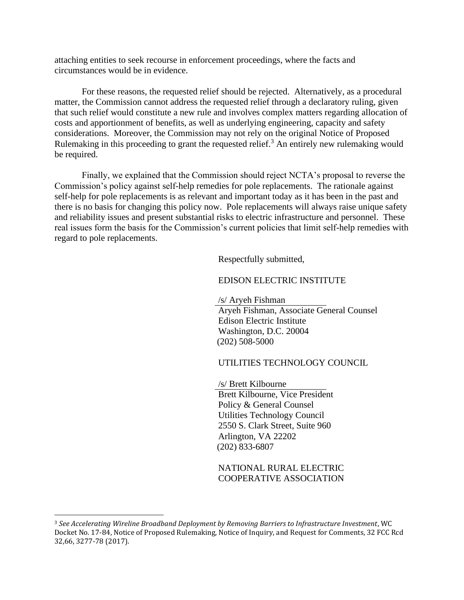attaching entities to seek recourse in enforcement proceedings, where the facts and circumstances would be in evidence.

For these reasons, the requested relief should be rejected. Alternatively, as a procedural matter, the Commission cannot address the requested relief through a declaratory ruling, given that such relief would constitute a new rule and involves complex matters regarding allocation of costs and apportionment of benefits, as well as underlying engineering, capacity and safety considerations. Moreover, the Commission may not rely on the original Notice of Proposed Rulemaking in this proceeding to grant the requested relief.<sup>3</sup> An entirely new rulemaking would be required.

Finally, we explained that the Commission should reject NCTA's proposal to reverse the Commission's policy against self-help remedies for pole replacements. The rationale against self-help for pole replacements is as relevant and important today as it has been in the past and there is no basis for changing this policy now. Pole replacements will always raise unique safety and reliability issues and present substantial risks to electric infrastructure and personnel. These real issues form the basis for the Commission's current policies that limit self-help remedies with regard to pole replacements.

Respectfully submitted,

## EDISON ELECTRIC INSTITUTE

/s/ Aryeh Fishman Aryeh Fishman, Associate General Counsel Edison Electric Institute Washington, D.C. 20004 (202) 508-5000

## UTILITIES TECHNOLOGY COUNCIL

/s/ Brett Kilbourne Brett Kilbourne, Vice President Policy & General Counsel Utilities Technology Council 2550 S. Clark Street, Suite 960 Arlington, VA 22202 (202) 833-6807

NATIONAL RURAL ELECTRIC COOPERATIVE ASSOCIATION

<sup>3</sup> *See Accelerating Wireline Broadband Deployment by Removing Barriers to Infrastructure Investment*, WC Docket No. 17-84, Notice of Proposed Rulemaking, Notice of Inquiry, and Request for Comments, 32 FCC Rcd 32,66, 3277-78 (2017).